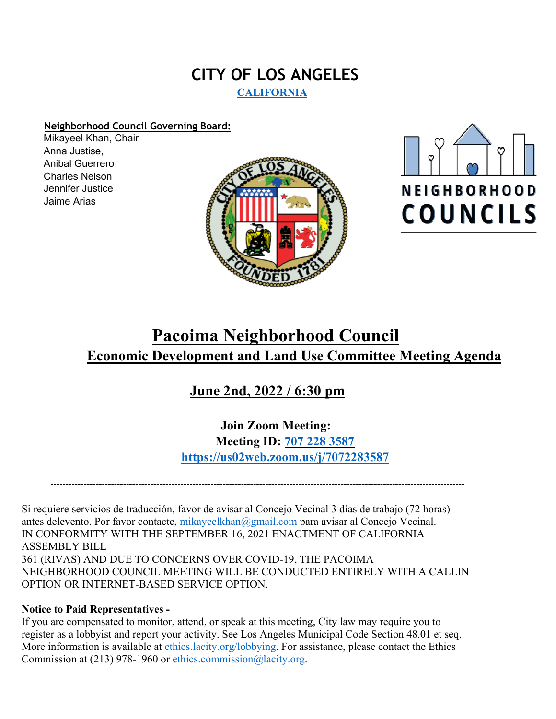## **CITY OF LOS ANGELES CALIFORNIA**

## **Neighborhood Council Governing Board:**

Mikayeel Khan, Chair Anna Justise, Anibal Guerrero Charles Nelson Jennifer Justice Jaime Arias





# **Pacoima Neighborhood Council Economic Development and Land Use Committee Meeting Agenda**

## **June 2nd, 2022 / 6:30 pm**

**Join Zoom Meeting: Meeting ID: 707 228 3587 https://us02web.zoom.us/j/7072283587**

-----------------------------------------------------------------------------------------------------------------------------------------

Si requiere servicios de traducción, favor de avisar al Concejo Vecinal 3 días de trabajo (72 horas) antes delevento. Por favor contacte, mikayeelkhan@gmail.com para avisar al Concejo Vecinal. IN CONFORMITY WITH THE SEPTEMBER 16, 2021 ENACTMENT OF CALIFORNIA ASSEMBLY BILL 361 (RIVAS) AND DUE TO CONCERNS OVER COVID-19, THE PACOIMA NEIGHBORHOOD COUNCIL MEETING WILL BE CONDUCTED ENTIRELY WITH A CALLIN OPTION OR INTERNET-BASED SERVICE OPTION.

## **Notice to Paid Representatives -**

If you are compensated to monitor, attend, or speak at this meeting, City law may require you to register as a lobbyist and report your activity. See Los Angeles Municipal Code Section 48.01 et seq. More information is available at ethics.lacity.org/lobbying. For assistance, please contact the Ethics Commission at (213) 978-1960 or ethics.commission@lacity.org.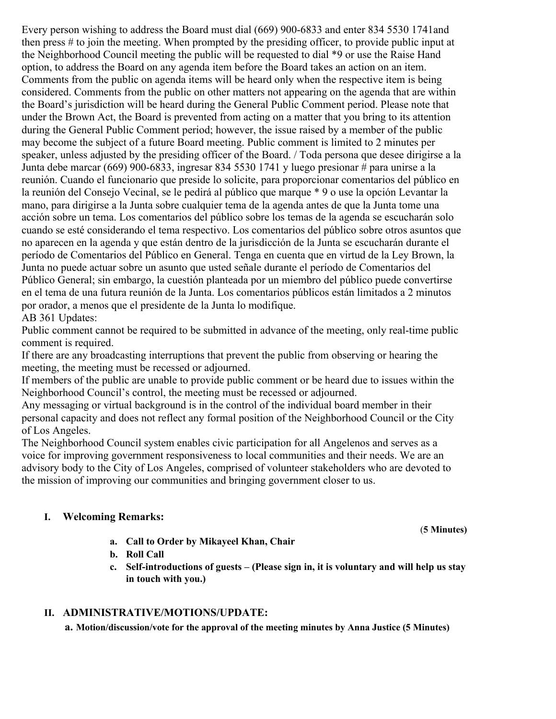Every person wishing to address the Board must dial (669) 900-6833 and enter 834 5530 1741and then press # to join the meeting. When prompted by the presiding officer, to provide public input at the Neighborhood Council meeting the public will be requested to dial \*9 or use the Raise Hand option, to address the Board on any agenda item before the Board takes an action on an item. Comments from the public on agenda items will be heard only when the respective item is being considered. Comments from the public on other matters not appearing on the agenda that are within the Board's jurisdiction will be heard during the General Public Comment period. Please note that under the Brown Act, the Board is prevented from acting on a matter that you bring to its attention during the General Public Comment period; however, the issue raised by a member of the public may become the subject of a future Board meeting. Public comment is limited to 2 minutes per speaker, unless adjusted by the presiding officer of the Board. / Toda persona que desee dirigirse a la Junta debe marcar (669) 900-6833, ingresar 834 5530 1741 y luego presionar # para unirse a la reunión. Cuando el funcionario que preside lo solicite, para proporcionar comentarios del público en la reunión del Consejo Vecinal, se le pedirá al público que marque \* 9 o use la opción Levantar la mano, para dirigirse a la Junta sobre cualquier tema de la agenda antes de que la Junta tome una acción sobre un tema. Los comentarios del público sobre los temas de la agenda se escucharán solo cuando se esté considerando el tema respectivo. Los comentarios del público sobre otros asuntos que no aparecen en la agenda y que están dentro de la jurisdicción de la Junta se escucharán durante el período de Comentarios del Público en General. Tenga en cuenta que en virtud de la Ley Brown, la Junta no puede actuar sobre un asunto que usted señale durante el período de Comentarios del Público General; sin embargo, la cuestión planteada por un miembro del público puede convertirse en el tema de una futura reunión de la Junta. Los comentarios públicos están limitados a 2 minutos por orador, a menos que el presidente de la Junta lo modifique. AB 361 Updates:

Public comment cannot be required to be submitted in advance of the meeting, only real-time public comment is required.

If there are any broadcasting interruptions that prevent the public from observing or hearing the meeting, the meeting must be recessed or adjourned.

If members of the public are unable to provide public comment or be heard due to issues within the Neighborhood Council's control, the meeting must be recessed or adjourned.

Any messaging or virtual background is in the control of the individual board member in their personal capacity and does not reflect any formal position of the Neighborhood Council or the City of Los Angeles.

The Neighborhood Council system enables civic participation for all Angelenos and serves as a voice for improving government responsiveness to local communities and their needs. We are an advisory body to the City of Los Angeles, comprised of volunteer stakeholders who are devoted to the mission of improving our communities and bringing government closer to us.

### **I. Welcoming Remarks:**

- **a. Call to Order by Mikayeel Khan, Chair**
- **b. Roll Call**
- **c. Self-introductions of guests – (Please sign in, it is voluntary and will help us stay in touch with you.)**

#### **II. ADMINISTRATIVE/MOTIONS/UPDATE:**

**a. Motion/discussion/vote for the approval of the meeting minutes by Anna Justice (5 Minutes)**

(**5 Minutes)**